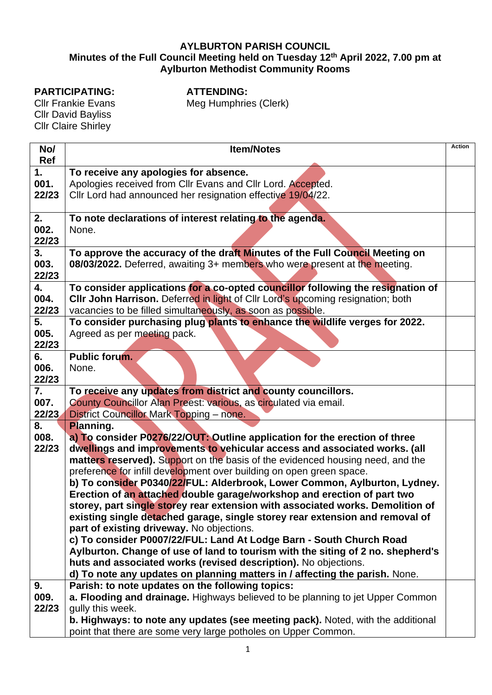## **AYLBURTON PARISH COUNCIL Minutes of the Full Council Meeting held on Tuesday 12th April 2022, 7.00 pm at Aylburton Methodist Community Rooms**

## **PARTICIPATING:**

**ATTENDING:** Meg Humphries (Clerk)

Cllr Frankie Evans Cllr David Bayliss Cllr Claire Shirley

| No/        | <b>Item/Notes</b>                                                                                                          | Action |  |  |  |
|------------|----------------------------------------------------------------------------------------------------------------------------|--------|--|--|--|
| Ref<br>1.  |                                                                                                                            |        |  |  |  |
| 001.       | To receive any apologies for absence.                                                                                      |        |  |  |  |
| 22/23      | Apologies received from Cllr Evans and Cllr Lord. Accepted.<br>Cllr Lord had announced her resignation effective 19/04/22. |        |  |  |  |
|            |                                                                                                                            |        |  |  |  |
| 2.         | To note declarations of interest relating to the agenda.                                                                   |        |  |  |  |
| 002.       | None.                                                                                                                      |        |  |  |  |
| 22/23      |                                                                                                                            |        |  |  |  |
| 3.         | To approve the accuracy of the draft Minutes of the Full Council Meeting on                                                |        |  |  |  |
| 003.       | 08/03/2022. Deferred, awaiting 3+ members who were present at the meeting.                                                 |        |  |  |  |
| 22/23      |                                                                                                                            |        |  |  |  |
| 4.         | To consider applications for a co-opted councillor following the resignation of                                            |        |  |  |  |
| 004.       | CIIr John Harrison. Deferred in light of CIIr Lord's upcoming resignation; both                                            |        |  |  |  |
| 22/23      | vacancies to be filled simultaneously, as soon as possible.                                                                |        |  |  |  |
| 5.<br>005. | To consider purchasing plug plants to enhance the wildlife verges for 2022.                                                |        |  |  |  |
| 22/23      | Agreed as per meeting pack.                                                                                                |        |  |  |  |
| 6.         | <b>Public forum.</b>                                                                                                       |        |  |  |  |
| 006.       | None.                                                                                                                      |        |  |  |  |
| 22/23      |                                                                                                                            |        |  |  |  |
| 7.         | To receive any updates from district and county councillors.                                                               |        |  |  |  |
| 007.       | County Councillor Alan Preest: various, as circulated via email.                                                           |        |  |  |  |
| 22/23      | <b>District Councillor Mark Topping - none.</b>                                                                            |        |  |  |  |
| 8.         | <b>Planning.</b>                                                                                                           |        |  |  |  |
| 008.       | a) To consider P0276/22/OUT: Outline application for the erection of three                                                 |        |  |  |  |
| 22/23      | dwellings and improvements to vehicular access and associated works. (all                                                  |        |  |  |  |
|            | matters reserved). Support on the basis of the evidenced housing need, and the                                             |        |  |  |  |
|            | preference for infill development over building on open green space.                                                       |        |  |  |  |
|            | b) To consider P0340/22/FUL: Alderbrook, Lower Common, Aylburton, Lydney.                                                  |        |  |  |  |
|            | Erection of an attached double garage/workshop and erection of part two                                                    |        |  |  |  |
|            | storey, part single storey rear extension with associated works. Demolition of                                             |        |  |  |  |
|            | existing single detached garage, single storey rear extension and removal of<br>part of existing driveway. No objections.  |        |  |  |  |
|            | c) To consider P0007/22/FUL: Land At Lodge Barn - South Church Road                                                        |        |  |  |  |
|            | Aylburton. Change of use of land to tourism with the siting of 2 no. shepherd's                                            |        |  |  |  |
|            | huts and associated works (revised description). No objections.                                                            |        |  |  |  |
|            | d) To note any updates on planning matters in / affecting the parish. None.                                                |        |  |  |  |
| 9.         | Parish: to note updates on the following topics:                                                                           |        |  |  |  |
| 009.       | a. Flooding and drainage. Highways believed to be planning to jet Upper Common                                             |        |  |  |  |
| 22/23      | gully this week.                                                                                                           |        |  |  |  |
|            | b. Highways: to note any updates (see meeting pack). Noted, with the additional                                            |        |  |  |  |
|            | point that there are some very large potholes on Upper Common.                                                             |        |  |  |  |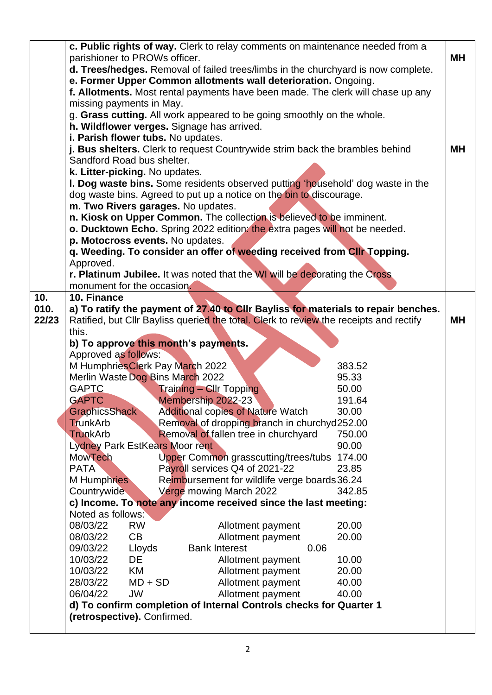|       | c. Public rights of way. Clerk to relay comments on maintenance needed from a     |                                                                                        |        |    |  |
|-------|-----------------------------------------------------------------------------------|----------------------------------------------------------------------------------------|--------|----|--|
|       | parishioner to PROWs officer.                                                     |                                                                                        |        |    |  |
|       | d. Trees/hedges. Removal of failed trees/limbs in the churchyard is now complete. |                                                                                        |        |    |  |
|       | e. Former Upper Common allotments wall deterioration. Ongoing.                    |                                                                                        |        |    |  |
|       |                                                                                   | f. Allotments. Most rental payments have been made. The clerk will chase up any        |        |    |  |
|       | missing payments in May.                                                          |                                                                                        |        |    |  |
|       |                                                                                   | g. Grass cutting. All work appeared to be going smoothly on the whole.                 |        |    |  |
|       |                                                                                   | h. Wildflower verges. Signage has arrived.                                             |        |    |  |
|       | i. Parish flower tubs. No updates.                                                |                                                                                        |        |    |  |
|       |                                                                                   | j. Bus shelters. Clerk to request Countrywide strim back the brambles behind           |        | MΗ |  |
|       | Sandford Road bus shelter.                                                        |                                                                                        |        |    |  |
|       | k. Litter-picking. No updates.                                                    |                                                                                        |        |    |  |
|       |                                                                                   | I. Dog waste bins. Some residents observed putting 'household' dog waste in the        |        |    |  |
|       |                                                                                   | dog waste bins. Agreed to put up a notice on the bin to discourage.                    |        |    |  |
|       | m. Two Rivers garages. No updates.                                                |                                                                                        |        |    |  |
|       |                                                                                   | n. Kiosk on Upper Common. The collection is believed to be imminent.                   |        |    |  |
|       | o. Ducktown Echo. Spring 2022 edition: the extra pages will not be needed.        |                                                                                        |        |    |  |
|       | p. Motocross events. No updates.                                                  |                                                                                        |        |    |  |
|       |                                                                                   | q. Weeding. To consider an offer of weeding received from CIIr Topping.                |        |    |  |
|       | Approved.                                                                         |                                                                                        |        |    |  |
|       |                                                                                   | r. Platinum Jubilee. It was noted that the WI will be decorating the Cross             |        |    |  |
|       | monument for the occasion.                                                        |                                                                                        |        |    |  |
| 10.   | 10. Finance                                                                       |                                                                                        |        |    |  |
| 010.  |                                                                                   | a) To ratify the payment of 27.40 to CIIr Bayliss for materials to repair benches.     |        |    |  |
| 22/23 |                                                                                   | Ratified, but Cllr Bayliss queried the total. Clerk to review the receipts and rectify |        | MН |  |
|       | this.                                                                             |                                                                                        |        |    |  |
|       | b) To approve this month's payments.                                              |                                                                                        |        |    |  |
|       | Approved as follows:                                                              |                                                                                        |        |    |  |
|       | M Humphries Clerk Pay March 2022                                                  |                                                                                        | 383.52 |    |  |
|       | Merlin Waste Dog Bins March 2022                                                  |                                                                                        | 95.33  |    |  |
|       | <b>GAPTC</b>                                                                      | <b>Training – Cllr Topping</b>                                                         | 50.00  |    |  |
|       | <b>GAPTC</b>                                                                      | Membership 2022-23                                                                     | 191.64 |    |  |
|       | GraphicsShack                                                                     | <b>Additional copies of Nature Watch</b>                                               | 30.00  |    |  |
|       | <b>TrunkArb</b>                                                                   | Removal of dropping branch in churchyd252.00                                           |        |    |  |
|       | <b>TrunkArb</b>                                                                   | Removal of fallen tree in churchyard                                                   | 750.00 |    |  |
|       | <b>Lydney Park EstKears Moor rent</b>                                             |                                                                                        | 90.00  |    |  |
|       | <b>MowTech</b>                                                                    | Upper Common grasscutting/trees/tubs                                                   | 174.00 |    |  |
|       | <b>PATA</b>                                                                       | Payroll services Q4 of 2021-22                                                         | 23.85  |    |  |
|       | M Humphries                                                                       | Reimbursement for wildlife verge boards 36.24                                          |        |    |  |
|       | Countrywide                                                                       | Verge mowing March 2022                                                                | 342.85 |    |  |
|       |                                                                                   | c) Income. To note any income received since the last meeting:                         |        |    |  |
|       | Noted as follows:                                                                 |                                                                                        |        |    |  |
|       | 08/03/22<br><b>RW</b>                                                             | Allotment payment                                                                      | 20.00  |    |  |
|       | CB<br>08/03/22                                                                    | Allotment payment                                                                      | 20.00  |    |  |
|       | 09/03/22<br>Lloyds                                                                | <b>Bank Interest</b>                                                                   | 0.06   |    |  |
|       | 10/03/22<br>DE                                                                    | Allotment payment                                                                      | 10.00  |    |  |
|       | 10/03/22<br>KM                                                                    | Allotment payment                                                                      | 20.00  |    |  |
|       | $MD + SD$<br>28/03/22                                                             | Allotment payment                                                                      | 40.00  |    |  |
|       | 06/04/22<br><b>JW</b>                                                             | Allotment payment                                                                      | 40.00  |    |  |
|       | d) To confirm completion of Internal Controls checks for Quarter 1                |                                                                                        |        |    |  |
|       | (retrospective). Confirmed.                                                       |                                                                                        |        |    |  |
|       |                                                                                   |                                                                                        |        |    |  |